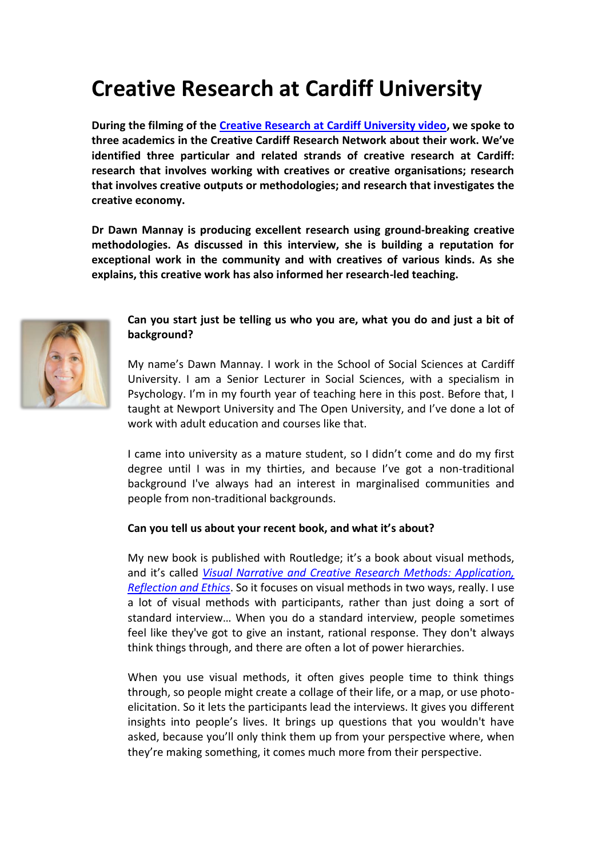# **Creative Research at Cardiff University**

**During the filming of the [Creative Research at Cardiff University video,](https://vimeo.com/182871373) we spoke to three academics in the Creative Cardiff Research Network about their work. We've identified three particular and related strands of creative research at Cardiff: research that involves working with creatives or creative organisations; research that involves creative outputs or methodologies; and research that investigates the creative economy.**

**Dr Dawn Mannay is producing excellent research using ground-breaking creative methodologies. As discussed in this interview, she is building a reputation for exceptional work in the community and with creatives of various kinds. As she explains, this creative work has also informed her research-led teaching.**



## **Can you start just be telling us who you are, what you do and just a bit of background?**

My name's Dawn Mannay. I work in the School of Social Sciences at Cardiff University. I am a Senior Lecturer in Social Sciences, with a specialism in Psychology. I'm in my fourth year of teaching here in this post. Before that, I taught at Newport University and The Open University, and I've done a lot of work with adult education and courses like that.

I came into university as a mature student, so I didn't come and do my first degree until I was in my thirties, and because I've got a non-traditional background I've always had an interest in marginalised communities and people from non-traditional backgrounds.

#### **Can you tell us about your recent book, and what it's about?**

My new book is published with Routledge; it's a book about visual methods, and it's called *[Visual Narrative and Creative Research Methods:](https://www.routledge.com/Visual-Narrative-and-Creative-Research-Methods-Application-reflection/Mannay/p/book/9781138024328) Application, [Reflection and Ethics](https://www.routledge.com/Visual-Narrative-and-Creative-Research-Methods-Application-reflection/Mannay/p/book/9781138024328)*. So it focuses on visual methods in two ways, really. I use a lot of visual methods with participants, rather than just doing a sort of standard interview… When you do a standard interview, people sometimes feel like they've got to give an instant, rational response. They don't always think things through, and there are often a lot of power hierarchies.

When you use visual methods, it often gives people time to think things through, so people might create a collage of their life, or a map, or use photoelicitation. So it lets the participants lead the interviews. It gives you different insights into people's lives. It brings up questions that you wouldn't have asked, because you'll only think them up from your perspective where, when they're making something, it comes much more from their perspective.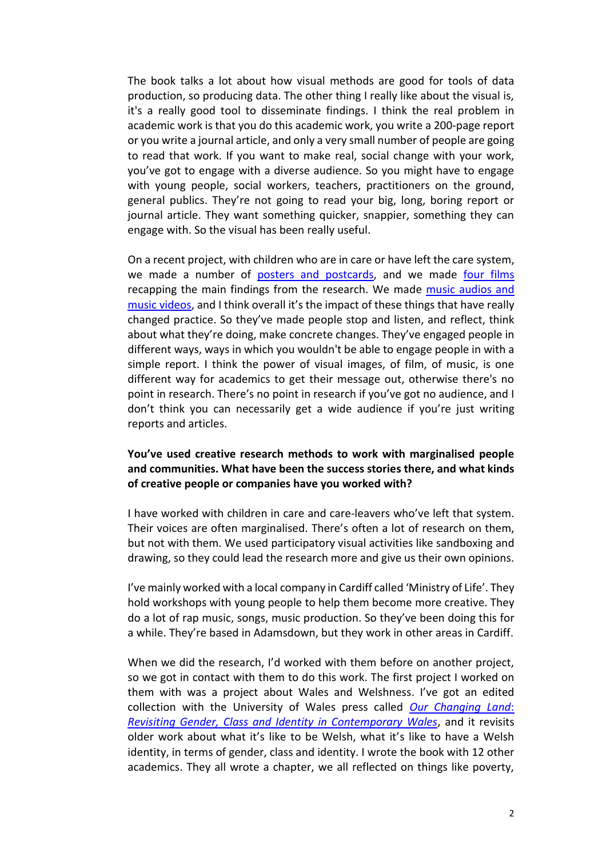The book talks a lot about how visual methods are good for tools of data production, so producing data. The other thing I really like about the visual is, it's a really good tool to disseminate findings. I think the real problem in academic work is that you do this academic work, you write a 200-page report or you write a journal article, and only a very small number of people are going to read that work. If you want to make real, social change with your work, you've got to engage with a diverse audience. So you might have to engage with young people, social workers, teachers, practitioners on the ground, general publics. They're not going to read your big, long, boring report or journal article. They want something quicker, snappier, something they can engage with. So the visual has been really useful.

On a recent project, with children who are in care or have left the care system, we made a number of posters and [postcards,](http://sites.cardiff.ac.uk/cascade/looked-after-children-and-education/) and we made [four films](http://sites.cardiff.ac.uk/cascade/looked-after-children-and-education/) recapping the main findings from the research. We made [music audios and](http://sites.cardiff.ac.uk/cascade/looked-after-children-and-education/) [music videos](http://sites.cardiff.ac.uk/cascade/looked-after-children-and-education/), and I think overall it's the impact of these things that have really changed practice. So they've made people stop and listen, and reflect, think about what they're doing, make concrete changes. They've engaged people in different ways, ways in which you wouldn't be able to engage people in with a simple report. I think the power of visual images, of film, of music, is one different way for academics to get their message out, otherwise there's no point in research. There's no point in research if you've got no audience, and I don't think you can necessarily get a wide audience if you're just writing reports and articles.

## **You've used creative research methods to work with marginalised people and communities. What have been the success stories there, and what kinds of creative people or companies have you worked with?**

I have worked with children in care and care-leavers who've left that system. Their voices are often marginalised. There's often a lot of research on them, but not with them. We used participatory visual activities like sandboxing and drawing, so they could lead the research more and give us their own opinions.

I've mainly worked with a local company in Cardiff called 'Ministry of Life'. They hold workshops with young people to help them become more creative. They do a lot of rap music, songs, music production. So they've been doing this for a while. They're based in Adamsdown, but they work in other areas in Cardiff.

When we did the research, I'd worked with them before on another project, so we got in contact with them to do this work. The first project I worked on them with was a project about Wales and Welshness. I've got an edited collection with the University of Wales press called *[Our Changing Land](http://www.uwp.co.uk/book/our-changing-land-paperback/)*: *[Revisiting Gender, Class and Identity in Contemporary Wales](http://www.uwp.co.uk/book/our-changing-land-paperback/)*, and it revisits older work about what it's like to be Welsh, what it's like to have a Welsh identity, in terms of gender, class and identity. I wrote the book with 12 other academics. They all wrote a chapter, we all reflected on things like poverty,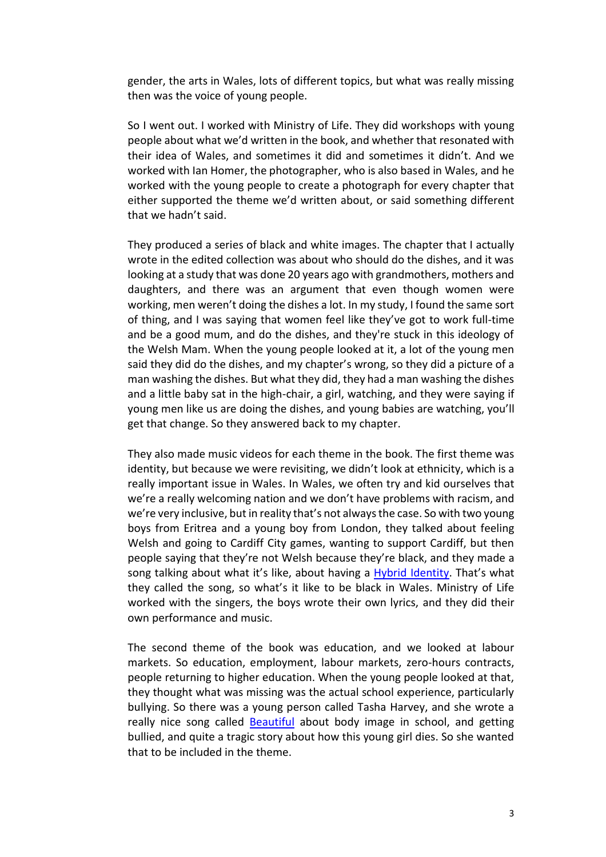gender, the arts in Wales, lots of different topics, but what was really missing then was the voice of young people.

So I went out. I worked with Ministry of Life. They did workshops with young people about what we'd written in the book, and whether that resonated with their idea of Wales, and sometimes it did and sometimes it didn't. And we worked with Ian Homer, the photographer, who is also based in Wales, and he worked with the young people to create a photograph for every chapter that either supported the theme we'd written about, or said something different that we hadn't said.

They produced a series of black and white images. The chapter that I actually wrote in the edited collection was about who should do the dishes, and it was looking at a study that was done 20 years ago with grandmothers, mothers and daughters, and there was an argument that even though women were working, men weren't doing the dishes a lot. In my study, I found the same sort of thing, and I was saying that women feel like they've got to work full-time and be a good mum, and do the dishes, and they're stuck in this ideology of the Welsh Mam. When the young people looked at it, a lot of the young men said they did do the dishes, and my chapter's wrong, so they did a picture of a man washing the dishes. But what they did, they had a man washing the dishes and a little baby sat in the high-chair, a girl, watching, and they were saying if young men like us are doing the dishes, and young babies are watching, you'll get that change. So they answered back to my chapter.

They also made music videos for each theme in the book. The first theme was identity, but because we were revisiting, we didn't look at ethnicity, which is a really important issue in Wales. In Wales, we often try and kid ourselves that we're a really welcoming nation and we don't have problems with racism, and we're very inclusive, but in reality that's not always the case. So with two young boys from Eritrea and a young boy from London, they talked about feeling Welsh and going to Cardiff City games, wanting to support Cardiff, but then people saying that they're not Welsh because they're black, and they made a song talking about what it's like, about having a [Hybrid Identity.](https://www.youtube.com/watch?v=lECT5lxl7os) That's what they called the song, so what's it like to be black in Wales. Ministry of Life worked with the singers, the boys wrote their own lyrics, and they did their own performance and music.

The second theme of the book was education, and we looked at labour markets. So education, employment, labour markets, zero-hours contracts, people returning to higher education. When the young people looked at that, they thought what was missing was the actual school experience, particularly bullying. So there was a young person called Tasha Harvey, and she wrote a really nice song called [Beautiful](https://www.youtube.com/watch?v=A93uWd6FAjc) about body image in school, and getting bullied, and quite a tragic story about how this young girl dies. So she wanted that to be included in the theme.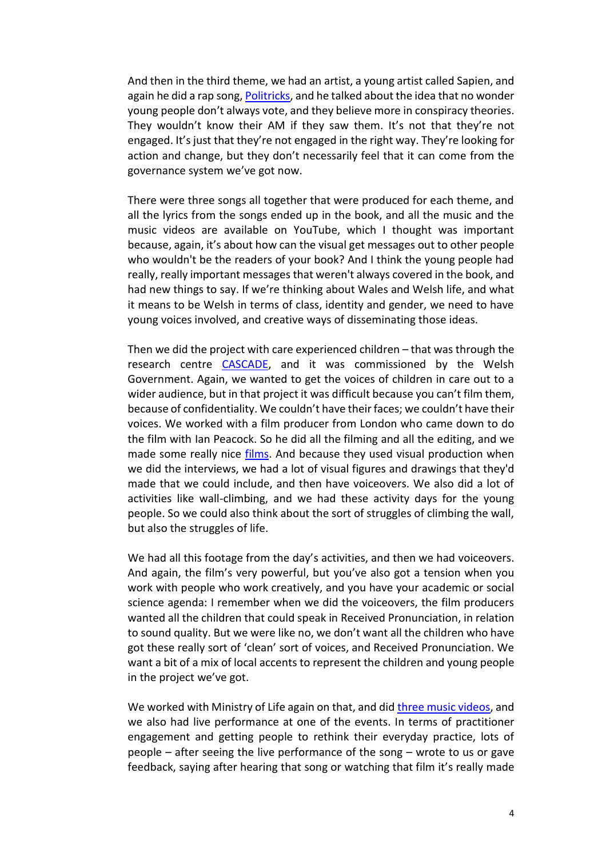And then in the third theme, we had an artist, a young artist called Sapien, and again he did a rap song[, Politricks,](https://www.youtube.com/watch?v=KOrPYVXq32I) and he talked about the idea that no wonder young people don't always vote, and they believe more in conspiracy theories. They wouldn't know their AM if they saw them. It's not that they're not engaged. It's just that they're not engaged in the right way. They're looking for action and change, but they don't necessarily feel that it can come from the governance system we've got now.

There were three songs all together that were produced for each theme, and all the lyrics from the songs ended up in the book, and all the music and the music videos are available on YouTube, which I thought was important because, again, it's about how can the visual get messages out to other people who wouldn't be the readers of your book? And I think the young people had really, really important messages that weren't always covered in the book, and had new things to say. If we're thinking about Wales and Welsh life, and what it means to be Welsh in terms of class, identity and gender, we need to have young voices involved, and creative ways of disseminating those ideas.

Then we did the project with care experienced children – that was through the research centre [CASCADE,](http://sites.cardiff.ac.uk/cascade/) and it was commissioned by the Welsh Government. Again, we wanted to get the voices of children in care out to a wider audience, but in that project it was difficult because you can't film them, because of confidentiality. We couldn't have their faces; we couldn't have their voices. We worked with a film producer from London who came down to do the film with Ian Peacock. So he did all the filming and all the editing, and we made some really nice [films.](http://sites.cardiff.ac.uk/cascade/looked-after-children-and-education/) And because they used visual production when we did the interviews, we had a lot of visual figures and drawings that they'd made that we could include, and then have voiceovers. We also did a lot of activities like wall-climbing, and we had these activity days for the young people. So we could also think about the sort of struggles of climbing the wall, but also the struggles of life.

We had all this footage from the day's activities, and then we had voiceovers. And again, the film's very powerful, but you've also got a tension when you work with people who work creatively, and you have your academic or social science agenda: I remember when we did the voiceovers, the film producers wanted all the children that could speak in Received Pronunciation, in relation to sound quality. But we were like no, we don't want all the children who have got these really sort of 'clean' sort of voices, and Received Pronunciation. We want a bit of a mix of local accents to represent the children and young people in the project we've got.

We worked with Ministry of Life again on that, and did [three music videos,](http://sites.cardiff.ac.uk/cascade/looked-after-children-and-education/) and we also had live performance at one of the events. In terms of practitioner engagement and getting people to rethink their everyday practice, lots of people – after seeing the live performance of the song – wrote to us or gave feedback, saying after hearing that song or watching that film it's really made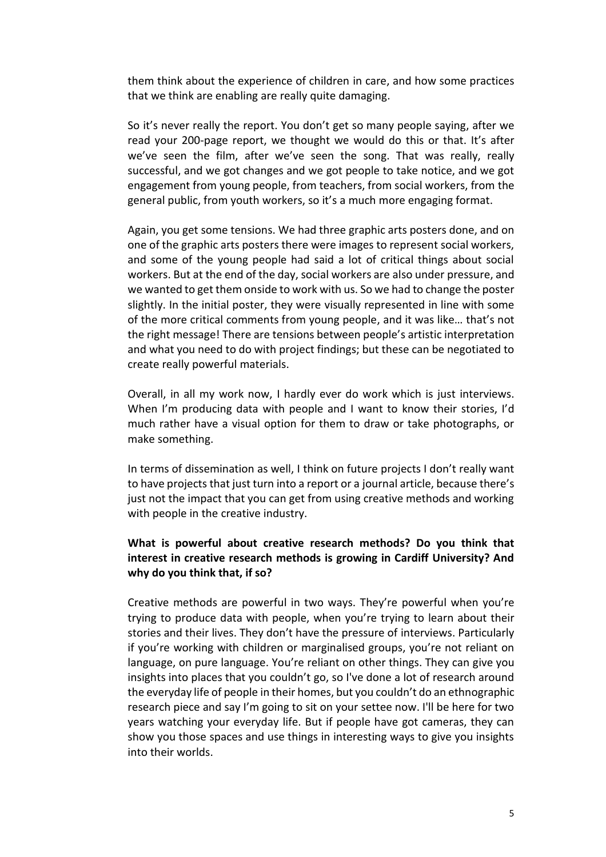them think about the experience of children in care, and how some practices that we think are enabling are really quite damaging.

So it's never really the report. You don't get so many people saying, after we read your 200-page report, we thought we would do this or that. It's after we've seen the film, after we've seen the song. That was really, really successful, and we got changes and we got people to take notice, and we got engagement from young people, from teachers, from social workers, from the general public, from youth workers, so it's a much more engaging format.

Again, you get some tensions. We had three graphic arts posters done, and on one of the graphic arts posters there were images to represent social workers, and some of the young people had said a lot of critical things about social workers. But at the end of the day, social workers are also under pressure, and we wanted to get them onside to work with us. So we had to change the poster slightly. In the initial poster, they were visually represented in line with some of the more critical comments from young people, and it was like… that's not the right message! There are tensions between people's artistic interpretation and what you need to do with project findings; but these can be negotiated to create really powerful materials.

Overall, in all my work now, I hardly ever do work which is just interviews. When I'm producing data with people and I want to know their stories, I'd much rather have a visual option for them to draw or take photographs, or make something.

In terms of dissemination as well, I think on future projects I don't really want to have projects that just turn into a report or a journal article, because there's just not the impact that you can get from using creative methods and working with people in the creative industry.

## **What is powerful about creative research methods? Do you think that interest in creative research methods is growing in Cardiff University? And why do you think that, if so?**

Creative methods are powerful in two ways. They're powerful when you're trying to produce data with people, when you're trying to learn about their stories and their lives. They don't have the pressure of interviews. Particularly if you're working with children or marginalised groups, you're not reliant on language, on pure language. You're reliant on other things. They can give you insights into places that you couldn't go, so I've done a lot of research around the everyday life of people in their homes, but you couldn't do an ethnographic research piece and say I'm going to sit on your settee now. I'll be here for two years watching your everyday life. But if people have got cameras, they can show you those spaces and use things in interesting ways to give you insights into their worlds.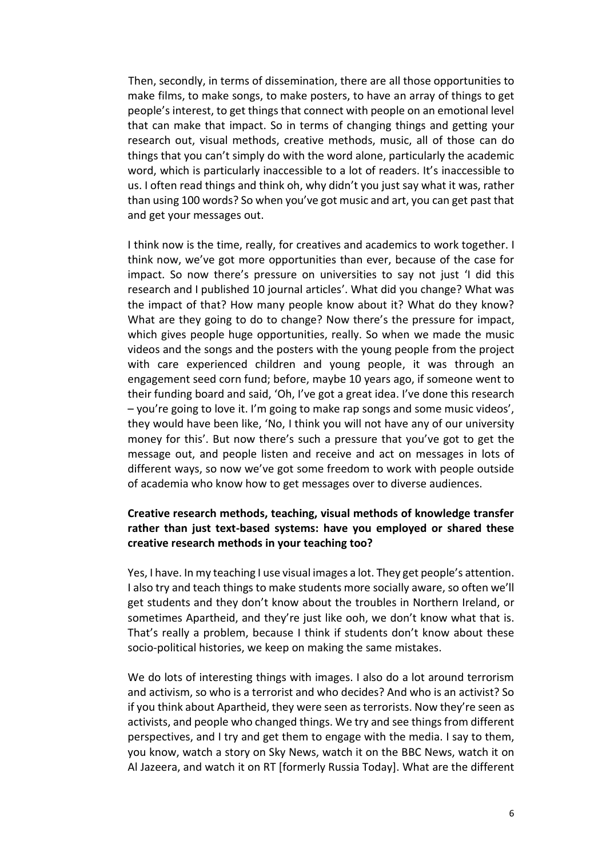Then, secondly, in terms of dissemination, there are all those opportunities to make films, to make songs, to make posters, to have an array of things to get people's interest, to get things that connect with people on an emotional level that can make that impact. So in terms of changing things and getting your research out, visual methods, creative methods, music, all of those can do things that you can't simply do with the word alone, particularly the academic word, which is particularly inaccessible to a lot of readers. It's inaccessible to us. I often read things and think oh, why didn't you just say what it was, rather than using 100 words? So when you've got music and art, you can get past that and get your messages out.

I think now is the time, really, for creatives and academics to work together. I think now, we've got more opportunities than ever, because of the case for impact. So now there's pressure on universities to say not just 'I did this research and I published 10 journal articles'. What did you change? What was the impact of that? How many people know about it? What do they know? What are they going to do to change? Now there's the pressure for impact, which gives people huge opportunities, really. So when we made the music videos and the songs and the posters with the young people from the project with care experienced children and young people, it was through an engagement seed corn fund; before, maybe 10 years ago, if someone went to their funding board and said, 'Oh, I've got a great idea. I've done this research – you're going to love it. I'm going to make rap songs and some music videos', they would have been like, 'No, I think you will not have any of our university money for this'. But now there's such a pressure that you've got to get the message out, and people listen and receive and act on messages in lots of different ways, so now we've got some freedom to work with people outside of academia who know how to get messages over to diverse audiences.

### **Creative research methods, teaching, visual methods of knowledge transfer rather than just text-based systems: have you employed or shared these creative research methods in your teaching too?**

Yes, I have. In my teaching I use visual images a lot. They get people's attention. I also try and teach things to make students more socially aware, so often we'll get students and they don't know about the troubles in Northern Ireland, or sometimes Apartheid, and they're just like ooh, we don't know what that is. That's really a problem, because I think if students don't know about these socio-political histories, we keep on making the same mistakes.

We do lots of interesting things with images. I also do a lot around terrorism and activism, so who is a terrorist and who decides? And who is an activist? So if you think about Apartheid, they were seen as terrorists. Now they're seen as activists, and people who changed things. We try and see things from different perspectives, and I try and get them to engage with the media. I say to them, you know, watch a story on Sky News, watch it on the BBC News, watch it on Al Jazeera, and watch it on RT [formerly Russia Today]. What are the different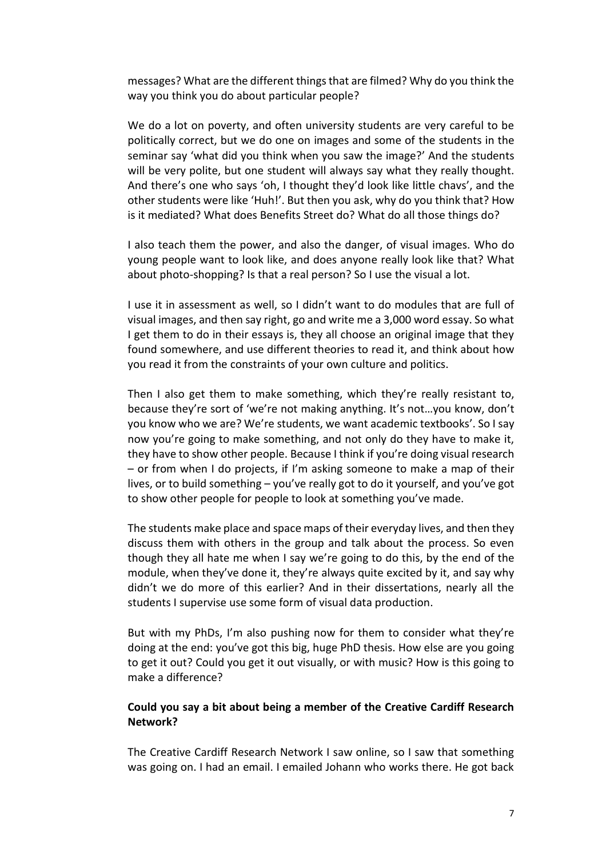messages? What are the different things that are filmed? Why do you think the way you think you do about particular people?

We do a lot on poverty, and often university students are very careful to be politically correct, but we do one on images and some of the students in the seminar say 'what did you think when you saw the image?' And the students will be very polite, but one student will always say what they really thought. And there's one who says 'oh, I thought they'd look like little chavs', and the other students were like 'Huh!'. But then you ask, why do you think that? How is it mediated? What does Benefits Street do? What do all those things do?

I also teach them the power, and also the danger, of visual images. Who do young people want to look like, and does anyone really look like that? What about photo-shopping? Is that a real person? So I use the visual a lot.

I use it in assessment as well, so I didn't want to do modules that are full of visual images, and then say right, go and write me a 3,000 word essay. So what I get them to do in their essays is, they all choose an original image that they found somewhere, and use different theories to read it, and think about how you read it from the constraints of your own culture and politics.

Then I also get them to make something, which they're really resistant to, because they're sort of 'we're not making anything. It's not…you know, don't you know who we are? We're students, we want academic textbooks'. So I say now you're going to make something, and not only do they have to make it, they have to show other people. Because I think if you're doing visual research – or from when I do projects, if I'm asking someone to make a map of their lives, or to build something – you've really got to do it yourself, and you've got to show other people for people to look at something you've made.

The students make place and space maps of their everyday lives, and then they discuss them with others in the group and talk about the process. So even though they all hate me when I say we're going to do this, by the end of the module, when they've done it, they're always quite excited by it, and say why didn't we do more of this earlier? And in their dissertations, nearly all the students I supervise use some form of visual data production.

But with my PhDs, I'm also pushing now for them to consider what they're doing at the end: you've got this big, huge PhD thesis. How else are you going to get it out? Could you get it out visually, or with music? How is this going to make a difference?

### **Could you say a bit about being a member of the Creative Cardiff Research Network?**

The Creative Cardiff Research Network I saw online, so I saw that something was going on. I had an email. I emailed Johann who works there. He got back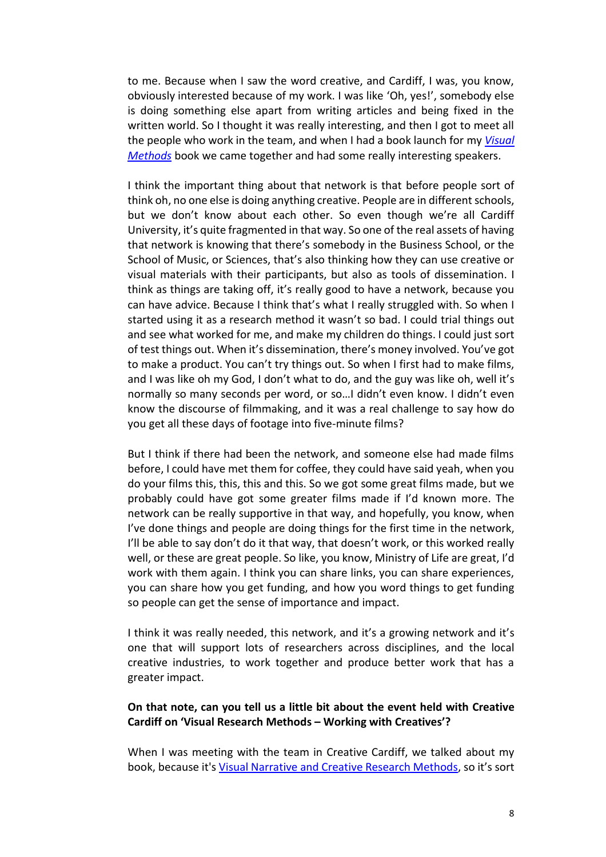to me. Because when I saw the word creative, and Cardiff, I was, you know, obviously interested because of my work. I was like 'Oh, yes!', somebody else is doing something else apart from writing articles and being fixed in the written world. So I thought it was really interesting, and then I got to meet all the people who work in the team, and when I had a book launch for my *[Visual](https://www.routledge.com/Visual-Narrative-and-Creative-Research-Methods-Application-reflection/Mannay/p/book/9781138024328)  [Methods](https://www.routledge.com/Visual-Narrative-and-Creative-Research-Methods-Application-reflection/Mannay/p/book/9781138024328)* book we came together and had some really interesting speakers.

I think the important thing about that network is that before people sort of think oh, no one else is doing anything creative. People are in different schools, but we don't know about each other. So even though we're all Cardiff University, it's quite fragmented in that way. So one of the real assets of having that network is knowing that there's somebody in the Business School, or the School of Music, or Sciences, that's also thinking how they can use creative or visual materials with their participants, but also as tools of dissemination. I think as things are taking off, it's really good to have a network, because you can have advice. Because I think that's what I really struggled with. So when I started using it as a research method it wasn't so bad. I could trial things out and see what worked for me, and make my children do things. I could just sort of test things out. When it's dissemination, there's money involved. You've got to make a product. You can't try things out. So when I first had to make films, and I was like oh my God, I don't what to do, and the guy was like oh, well it's normally so many seconds per word, or so…I didn't even know. I didn't even know the discourse of filmmaking, and it was a real challenge to say how do you get all these days of footage into five-minute films?

But I think if there had been the network, and someone else had made films before, I could have met them for coffee, they could have said yeah, when you do your films this, this, this and this. So we got some great films made, but we probably could have got some greater films made if I'd known more. The network can be really supportive in that way, and hopefully, you know, when I've done things and people are doing things for the first time in the network, I'll be able to say don't do it that way, that doesn't work, or this worked really well, or these are great people. So like, you know, Ministry of Life are great, I'd work with them again. I think you can share links, you can share experiences, you can share how you get funding, and how you word things to get funding so people can get the sense of importance and impact.

I think it was really needed, this network, and it's a growing network and it's one that will support lots of researchers across disciplines, and the local creative industries, to work together and produce better work that has a greater impact.

### **On that note, can you tell us a little bit about the event held with Creative Cardiff on 'Visual Research Methods – Working with Creatives'?**

When I was meeting with the team in Creative Cardiff, we talked about my book, because it'[s Visual Narrative and Creative Research Methods](https://www.routledge.com/Visual-Narrative-and-Creative-Research-Methods-Application-reflection/Mannay/p/book/9781138024328), so it's sort